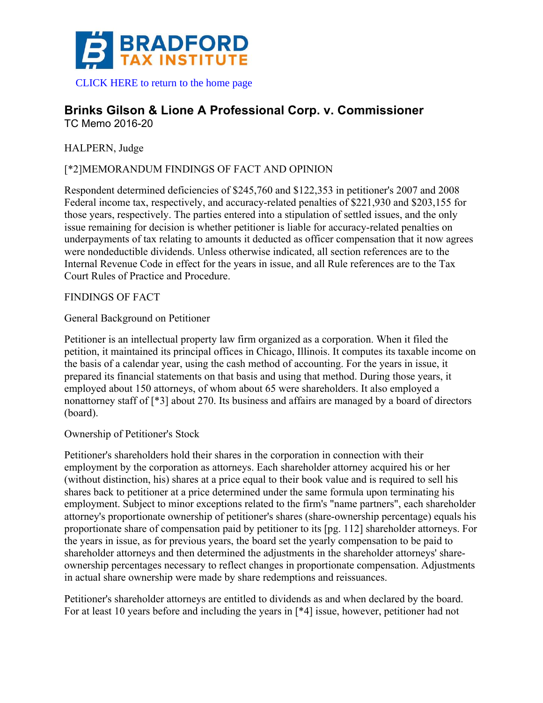

 [CLICK HERE to return to the home page](www.bradfordtaxinstitute.com) 

# **Brinks Gilson & Lione A Professional Corp. v. Commissioner** TC Memo 2016-20

HALPERN, Judge

# [\*2]MEMORANDUM FINDINGS OF FACT AND OPINION

Respondent determined deficiencies of \$245,760 and \$122,353 in petitioner's 2007 and 2008 Federal income tax, respectively, and accuracy-related penalties of \$221,930 and \$203,155 for those years, respectively. The parties entered into a stipulation of settled issues, and the only issue remaining for decision is whether petitioner is liable for accuracy-related penalties on underpayments of tax relating to amounts it deducted as officer compensation that it now agrees were nondeductible dividends. Unless otherwise indicated, all section references are to the Internal Revenue Code in effect for the years in issue, and all Rule references are to the Tax Court Rules of Practice and Procedure.

FINDINGS OF FACT

General Background on Petitioner

Petitioner is an intellectual property law firm organized as a corporation. When it filed the petition, it maintained its principal offices in Chicago, Illinois. It computes its taxable income on the basis of a calendar year, using the cash method of accounting. For the years in issue, it prepared its financial statements on that basis and using that method. During those years, it employed about 150 attorneys, of whom about 65 were shareholders. It also employed a nonattorney staff of [\*3] about 270. Its business and affairs are managed by a board of directors (board).

Ownership of Petitioner's Stock

Petitioner's shareholders hold their shares in the corporation in connection with their employment by the corporation as attorneys. Each shareholder attorney acquired his or her (without distinction, his) shares at a price equal to their book value and is required to sell his shares back to petitioner at a price determined under the same formula upon terminating his employment. Subject to minor exceptions related to the firm's "name partners", each shareholder attorney's proportionate ownership of petitioner's shares (share-ownership percentage) equals his proportionate share of compensation paid by petitioner to its [pg. 112] shareholder attorneys. For the years in issue, as for previous years, the board set the yearly compensation to be paid to shareholder attorneys and then determined the adjustments in the shareholder attorneys' shareownership percentages necessary to reflect changes in proportionate compensation. Adjustments in actual share ownership were made by share redemptions and reissuances.

Petitioner's shareholder attorneys are entitled to dividends as and when declared by the board. For at least 10 years before and including the years in [\*4] issue, however, petitioner had not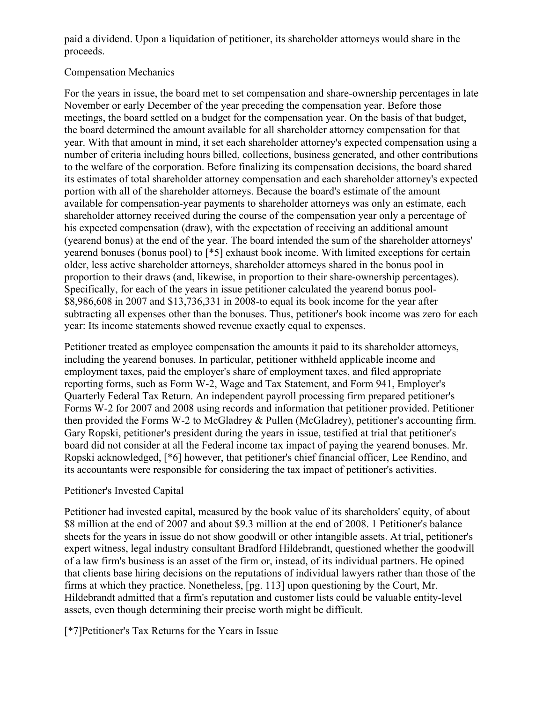paid a dividend. Upon a liquidation of petitioner, its shareholder attorneys would share in the proceeds.

# Compensation Mechanics

For the years in issue, the board met to set compensation and share-ownership percentages in late November or early December of the year preceding the compensation year. Before those meetings, the board settled on a budget for the compensation year. On the basis of that budget, the board determined the amount available for all shareholder attorney compensation for that year. With that amount in mind, it set each shareholder attorney's expected compensation using a number of criteria including hours billed, collections, business generated, and other contributions to the welfare of the corporation. Before finalizing its compensation decisions, the board shared its estimates of total shareholder attorney compensation and each shareholder attorney's expected portion with all of the shareholder attorneys. Because the board's estimate of the amount available for compensation-year payments to shareholder attorneys was only an estimate, each shareholder attorney received during the course of the compensation year only a percentage of his expected compensation (draw), with the expectation of receiving an additional amount (yearend bonus) at the end of the year. The board intended the sum of the shareholder attorneys' yearend bonuses (bonus pool) to [\*5] exhaust book income. With limited exceptions for certain older, less active shareholder attorneys, shareholder attorneys shared in the bonus pool in proportion to their draws (and, likewise, in proportion to their share-ownership percentages). Specifically, for each of the years in issue petitioner calculated the yearend bonus pool- \$8,986,608 in 2007 and \$13,736,331 in 2008-to equal its book income for the year after subtracting all expenses other than the bonuses. Thus, petitioner's book income was zero for each year: Its income statements showed revenue exactly equal to expenses.

Petitioner treated as employee compensation the amounts it paid to its shareholder attorneys, including the yearend bonuses. In particular, petitioner withheld applicable income and employment taxes, paid the employer's share of employment taxes, and filed appropriate reporting forms, such as Form W-2, Wage and Tax Statement, and Form 941, Employer's Quarterly Federal Tax Return. An independent payroll processing firm prepared petitioner's Forms W-2 for 2007 and 2008 using records and information that petitioner provided. Petitioner then provided the Forms W-2 to McGladrey & Pullen (McGladrey), petitioner's accounting firm. Gary Ropski, petitioner's president during the years in issue, testified at trial that petitioner's board did not consider at all the Federal income tax impact of paying the yearend bonuses. Mr. Ropski acknowledged, [\*6] however, that petitioner's chief financial officer, Lee Rendino, and its accountants were responsible for considering the tax impact of petitioner's activities.

# Petitioner's Invested Capital

Petitioner had invested capital, measured by the book value of its shareholders' equity, of about \$8 million at the end of 2007 and about \$9.3 million at the end of 2008. 1 Petitioner's balance sheets for the years in issue do not show goodwill or other intangible assets. At trial, petitioner's expert witness, legal industry consultant Bradford Hildebrandt, questioned whether the goodwill of a law firm's business is an asset of the firm or, instead, of its individual partners. He opined that clients base hiring decisions on the reputations of individual lawyers rather than those of the firms at which they practice. Nonetheless, [pg. 113] upon questioning by the Court, Mr. Hildebrandt admitted that a firm's reputation and customer lists could be valuable entity-level assets, even though determining their precise worth might be difficult.

[\*7]Petitioner's Tax Returns for the Years in Issue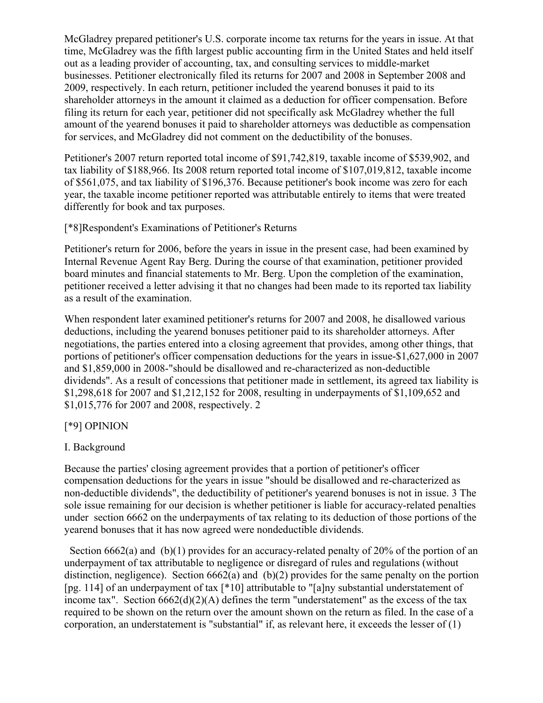McGladrey prepared petitioner's U.S. corporate income tax returns for the years in issue. At that time, McGladrey was the fifth largest public accounting firm in the United States and held itself out as a leading provider of accounting, tax, and consulting services to middle-market businesses. Petitioner electronically filed its returns for 2007 and 2008 in September 2008 and 2009, respectively. In each return, petitioner included the yearend bonuses it paid to its shareholder attorneys in the amount it claimed as a deduction for officer compensation. Before filing its return for each year, petitioner did not specifically ask McGladrey whether the full amount of the yearend bonuses it paid to shareholder attorneys was deductible as compensation for services, and McGladrey did not comment on the deductibility of the bonuses.

Petitioner's 2007 return reported total income of \$91,742,819, taxable income of \$539,902, and tax liability of \$188,966. Its 2008 return reported total income of \$107,019,812, taxable income of \$561,075, and tax liability of \$196,376. Because petitioner's book income was zero for each year, the taxable income petitioner reported was attributable entirely to items that were treated differently for book and tax purposes.

#### [\*8]Respondent's Examinations of Petitioner's Returns

Petitioner's return for 2006, before the years in issue in the present case, had been examined by Internal Revenue Agent Ray Berg. During the course of that examination, petitioner provided board minutes and financial statements to Mr. Berg. Upon the completion of the examination, petitioner received a letter advising it that no changes had been made to its reported tax liability as a result of the examination.

When respondent later examined petitioner's returns for 2007 and 2008, he disallowed various deductions, including the yearend bonuses petitioner paid to its shareholder attorneys. After negotiations, the parties entered into a closing agreement that provides, among other things, that portions of petitioner's officer compensation deductions for the years in issue-\$1,627,000 in 2007 and \$1,859,000 in 2008-"should be disallowed and re-characterized as non-deductible dividends". As a result of concessions that petitioner made in settlement, its agreed tax liability is \$1,298,618 for 2007 and \$1,212,152 for 2008, resulting in underpayments of \$1,109,652 and \$1,015,776 for 2007 and 2008, respectively. 2

# [\*9] OPINION

# I. Background

Because the parties' closing agreement provides that a portion of petitioner's officer compensation deductions for the years in issue "should be disallowed and re-characterized as non-deductible dividends", the deductibility of petitioner's yearend bonuses is not in issue. 3 The sole issue remaining for our decision is whether petitioner is liable for accuracy-related penalties under section 6662 on the underpayments of tax relating to its deduction of those portions of the yearend bonuses that it has now agreed were nondeductible dividends.

Section 6662(a) and (b)(1) provides for an accuracy-related penalty of 20% of the portion of an underpayment of tax attributable to negligence or disregard of rules and regulations (without distinction, negligence). Section 6662(a) and (b)(2) provides for the same penalty on the portion [pg. 114] of an underpayment of tax [\*10] attributable to "[a]ny substantial understatement of income tax". Section  $6662(d)(2)(A)$  defines the term "understatement" as the excess of the tax required to be shown on the return over the amount shown on the return as filed. In the case of a corporation, an understatement is "substantial" if, as relevant here, it exceeds the lesser of (1)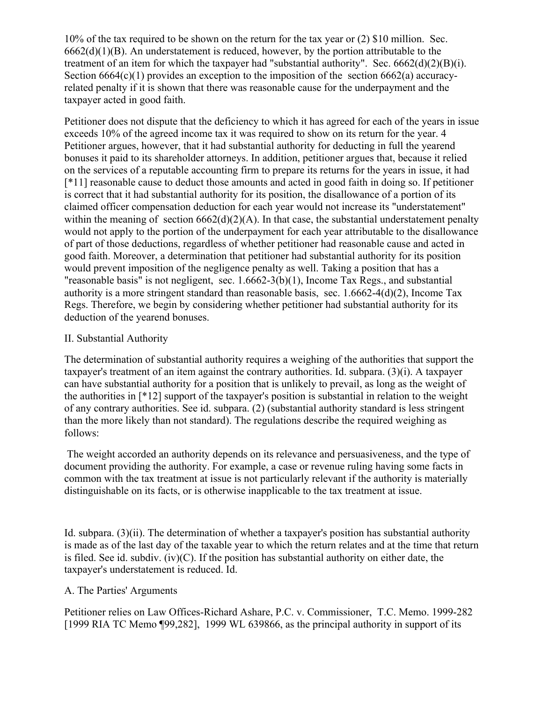10% of the tax required to be shown on the return for the tax year or (2) \$10 million. Sec.  $6662(d)(1)(B)$ . An understatement is reduced, however, by the portion attributable to the treatment of an item for which the taxpayer had "substantial authority". Sec.  $6662(d)(2)(B)(i)$ . Section 6664(c)(1) provides an exception to the imposition of the section 6662(a) accuracyrelated penalty if it is shown that there was reasonable cause for the underpayment and the taxpayer acted in good faith.

Petitioner does not dispute that the deficiency to which it has agreed for each of the years in issue exceeds 10% of the agreed income tax it was required to show on its return for the year. 4 Petitioner argues, however, that it had substantial authority for deducting in full the yearend bonuses it paid to its shareholder attorneys. In addition, petitioner argues that, because it relied on the services of a reputable accounting firm to prepare its returns for the years in issue, it had [\*11] reasonable cause to deduct those amounts and acted in good faith in doing so. If petitioner is correct that it had substantial authority for its position, the disallowance of a portion of its claimed officer compensation deduction for each year would not increase its "understatement" within the meaning of section  $6662(d)(2)(A)$ . In that case, the substantial understatement penalty would not apply to the portion of the underpayment for each year attributable to the disallowance of part of those deductions, regardless of whether petitioner had reasonable cause and acted in good faith. Moreover, a determination that petitioner had substantial authority for its position would prevent imposition of the negligence penalty as well. Taking a position that has a "reasonable basis" is not negligent, sec. 1.6662-3(b)(1), Income Tax Regs., and substantial authority is a more stringent standard than reasonable basis, sec. 1.6662-4(d)(2), Income Tax Regs. Therefore, we begin by considering whether petitioner had substantial authority for its deduction of the yearend bonuses.

#### II. Substantial Authority

The determination of substantial authority requires a weighing of the authorities that support the taxpayer's treatment of an item against the contrary authorities. Id. subpara. (3)(i). A taxpayer can have substantial authority for a position that is unlikely to prevail, as long as the weight of the authorities in [\*12] support of the taxpayer's position is substantial in relation to the weight of any contrary authorities. See id. subpara. (2) (substantial authority standard is less stringent than the more likely than not standard). The regulations describe the required weighing as follows:

The weight accorded an authority depends on its relevance and persuasiveness, and the type of document providing the authority. For example, a case or revenue ruling having some facts in common with the tax treatment at issue is not particularly relevant if the authority is materially distinguishable on its facts, or is otherwise inapplicable to the tax treatment at issue.

Id. subpara. (3)(ii). The determination of whether a taxpayer's position has substantial authority is made as of the last day of the taxable year to which the return relates and at the time that return is filed. See id. subdiv. (iv)(C). If the position has substantial authority on either date, the taxpayer's understatement is reduced. Id.

# A. The Parties' Arguments

Petitioner relies on Law Offices-Richard Ashare, P.C. v. Commissioner, T.C. Memo. 1999-282 [1999 RIA TC Memo ¶99,282], 1999 WL 639866, as the principal authority in support of its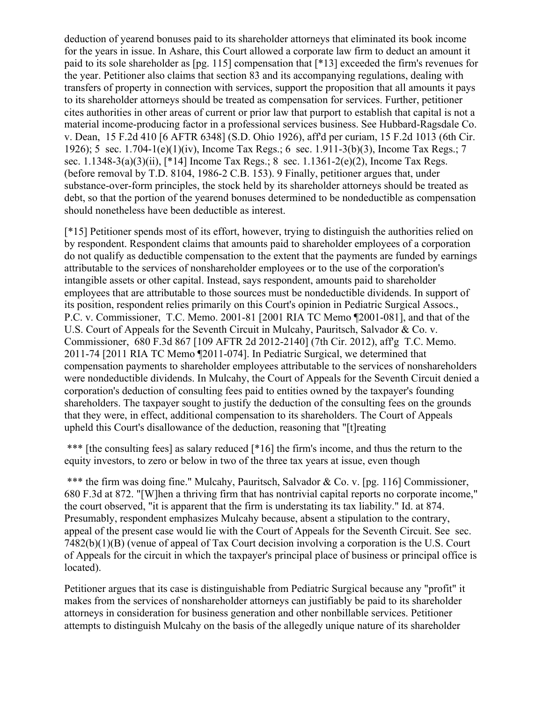deduction of yearend bonuses paid to its shareholder attorneys that eliminated its book income for the years in issue. In Ashare, this Court allowed a corporate law firm to deduct an amount it paid to its sole shareholder as [pg. 115] compensation that [\*13] exceeded the firm's revenues for the year. Petitioner also claims that section 83 and its accompanying regulations, dealing with transfers of property in connection with services, support the proposition that all amounts it pays to its shareholder attorneys should be treated as compensation for services. Further, petitioner cites authorities in other areas of current or prior law that purport to establish that capital is not a material income-producing factor in a professional services business. See Hubbard-Ragsdale Co. v. Dean, 15 F.2d 410 [6 AFTR 6348] (S.D. Ohio 1926), aff'd per curiam, 15 F.2d 1013 (6th Cir. 1926); 5 sec. 1.704-1(e)(1)(iv), Income Tax Regs.; 6 sec. 1.911-3(b)(3), Income Tax Regs.; 7 sec. 1.1348-3(a)(3)(ii), [\*14] Income Tax Regs.; 8 sec. 1.1361-2(e)(2), Income Tax Regs. (before removal by T.D. 8104, 1986-2 C.B. 153). 9 Finally, petitioner argues that, under substance-over-form principles, the stock held by its shareholder attorneys should be treated as debt, so that the portion of the yearend bonuses determined to be nondeductible as compensation should nonetheless have been deductible as interest.

[\*15] Petitioner spends most of its effort, however, trying to distinguish the authorities relied on by respondent. Respondent claims that amounts paid to shareholder employees of a corporation do not qualify as deductible compensation to the extent that the payments are funded by earnings attributable to the services of nonshareholder employees or to the use of the corporation's intangible assets or other capital. Instead, says respondent, amounts paid to shareholder employees that are attributable to those sources must be nondeductible dividends. In support of its position, respondent relies primarily on this Court's opinion in Pediatric Surgical Assocs., P.C. v. Commissioner, T.C. Memo. 2001-81 [2001 RIA TC Memo ¶2001-081], and that of the U.S. Court of Appeals for the Seventh Circuit in Mulcahy, Pauritsch, Salvador & Co. v. Commissioner, 680 F.3d 867 [109 AFTR 2d 2012-2140] (7th Cir. 2012), aff'g T.C. Memo. 2011-74 [2011 RIA TC Memo ¶2011-074]. In Pediatric Surgical, we determined that compensation payments to shareholder employees attributable to the services of nonshareholders were nondeductible dividends. In Mulcahy, the Court of Appeals for the Seventh Circuit denied a corporation's deduction of consulting fees paid to entities owned by the taxpayer's founding shareholders. The taxpayer sought to justify the deduction of the consulting fees on the grounds that they were, in effect, additional compensation to its shareholders. The Court of Appeals upheld this Court's disallowance of the deduction, reasoning that "[t]reating

\*\*\* Ithe consulting fees] as salary reduced [\*16] the firm's income, and thus the return to the equity investors, to zero or below in two of the three tax years at issue, even though

\*\*\* the firm was doing fine." Mulcahy, Pauritsch, Salvador & Co. v. [pg. 116] Commissioner, 680 F.3d at 872. "[W]hen a thriving firm that has nontrivial capital reports no corporate income," the court observed, "it is apparent that the firm is understating its tax liability." Id. at 874. Presumably, respondent emphasizes Mulcahy because, absent a stipulation to the contrary, appeal of the present case would lie with the Court of Appeals for the Seventh Circuit. See sec. 7482(b)(1)(B) (venue of appeal of Tax Court decision involving a corporation is the U.S. Court of Appeals for the circuit in which the taxpayer's principal place of business or principal office is located).

Petitioner argues that its case is distinguishable from Pediatric Surgical because any "profit" it makes from the services of nonshareholder attorneys can justifiably be paid to its shareholder attorneys in consideration for business generation and other nonbillable services. Petitioner attempts to distinguish Mulcahy on the basis of the allegedly unique nature of its shareholder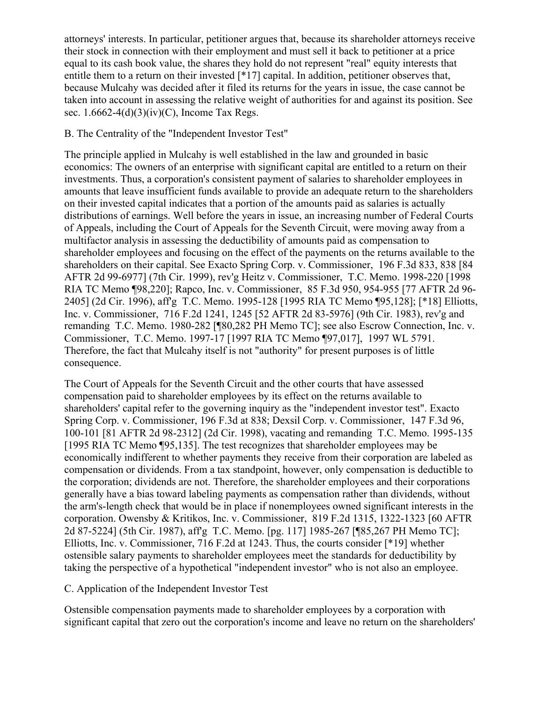attorneys' interests. In particular, petitioner argues that, because its shareholder attorneys receive their stock in connection with their employment and must sell it back to petitioner at a price equal to its cash book value, the shares they hold do not represent "real" equity interests that entitle them to a return on their invested [\*17] capital. In addition, petitioner observes that, because Mulcahy was decided after it filed its returns for the years in issue, the case cannot be taken into account in assessing the relative weight of authorities for and against its position. See sec.  $1.6662-4(d)(3)(iv)(C)$ , Income Tax Regs.

# B. The Centrality of the "Independent Investor Test"

The principle applied in Mulcahy is well established in the law and grounded in basic economics: The owners of an enterprise with significant capital are entitled to a return on their investments. Thus, a corporation's consistent payment of salaries to shareholder employees in amounts that leave insufficient funds available to provide an adequate return to the shareholders on their invested capital indicates that a portion of the amounts paid as salaries is actually distributions of earnings. Well before the years in issue, an increasing number of Federal Courts of Appeals, including the Court of Appeals for the Seventh Circuit, were moving away from a multifactor analysis in assessing the deductibility of amounts paid as compensation to shareholder employees and focusing on the effect of the payments on the returns available to the shareholders on their capital. See Exacto Spring Corp. v. Commissioner, 196 F.3d 833, 838 [84 AFTR 2d 99-6977] (7th Cir. 1999), rev'g Heitz v. Commissioner, T.C. Memo. 1998-220 [1998 RIA TC Memo ¶98,220]; Rapco, Inc. v. Commissioner, 85 F.3d 950, 954-955 [77 AFTR 2d 96- 2405] (2d Cir. 1996), aff'g T.C. Memo. 1995-128 [1995 RIA TC Memo ¶95,128]; [\*18] Elliotts, Inc. v. Commissioner, 716 F.2d 1241, 1245 [52 AFTR 2d 83-5976] (9th Cir. 1983), rev'g and remanding T.C. Memo. 1980-282 [¶80,282 PH Memo TC]; see also Escrow Connection, Inc. v. Commissioner, T.C. Memo. 1997-17 [1997 RIA TC Memo ¶97,017], 1997 WL 5791. Therefore, the fact that Mulcahy itself is not "authority" for present purposes is of little consequence.

The Court of Appeals for the Seventh Circuit and the other courts that have assessed compensation paid to shareholder employees by its effect on the returns available to shareholders' capital refer to the governing inquiry as the "independent investor test". Exacto Spring Corp. v. Commissioner, 196 F.3d at 838; Dexsil Corp. v. Commissioner, 147 F.3d 96, 100-101 [81 AFTR 2d 98-2312] (2d Cir. 1998), vacating and remanding T.C. Memo. 1995-135 [1995 RIA TC Memo ¶95,135]. The test recognizes that shareholder employees may be economically indifferent to whether payments they receive from their corporation are labeled as compensation or dividends. From a tax standpoint, however, only compensation is deductible to the corporation; dividends are not. Therefore, the shareholder employees and their corporations generally have a bias toward labeling payments as compensation rather than dividends, without the arm's-length check that would be in place if nonemployees owned significant interests in the corporation. Owensby & Kritikos, Inc. v. Commissioner, 819 F.2d 1315, 1322-1323 [60 AFTR 2d 87-5224] (5th Cir. 1987), aff'g T.C. Memo. [pg. 117] 1985-267 [¶85,267 PH Memo TC]; Elliotts, Inc. v. Commissioner, 716 F.2d at 1243. Thus, the courts consider [\*19] whether ostensible salary payments to shareholder employees meet the standards for deductibility by taking the perspective of a hypothetical "independent investor" who is not also an employee.

# C. Application of the Independent Investor Test

Ostensible compensation payments made to shareholder employees by a corporation with significant capital that zero out the corporation's income and leave no return on the shareholders'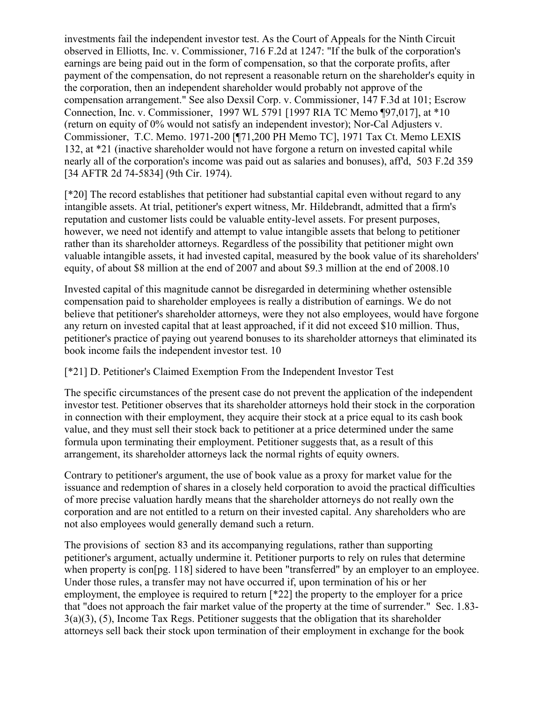investments fail the independent investor test. As the Court of Appeals for the Ninth Circuit observed in Elliotts, Inc. v. Commissioner, 716 F.2d at 1247: "If the bulk of the corporation's earnings are being paid out in the form of compensation, so that the corporate profits, after payment of the compensation, do not represent a reasonable return on the shareholder's equity in the corporation, then an independent shareholder would probably not approve of the compensation arrangement." See also Dexsil Corp. v. Commissioner, 147 F.3d at 101; Escrow Connection, Inc. v. Commissioner, 1997 WL 5791 [1997 RIA TC Memo ¶97,017], at \*10 (return on equity of 0% would not satisfy an independent investor); Nor-Cal Adjusters v. Commissioner, T.C. Memo. 1971-200 [¶71,200 PH Memo TC], 1971 Tax Ct. Memo LEXIS 132, at \*21 (inactive shareholder would not have forgone a return on invested capital while nearly all of the corporation's income was paid out as salaries and bonuses), aff'd, 503 F.2d 359 [34 AFTR 2d 74-5834] (9th Cir. 1974).

[\*20] The record establishes that petitioner had substantial capital even without regard to any intangible assets. At trial, petitioner's expert witness, Mr. Hildebrandt, admitted that a firm's reputation and customer lists could be valuable entity-level assets. For present purposes, however, we need not identify and attempt to value intangible assets that belong to petitioner rather than its shareholder attorneys. Regardless of the possibility that petitioner might own valuable intangible assets, it had invested capital, measured by the book value of its shareholders' equity, of about \$8 million at the end of 2007 and about \$9.3 million at the end of 2008.10

Invested capital of this magnitude cannot be disregarded in determining whether ostensible compensation paid to shareholder employees is really a distribution of earnings. We do not believe that petitioner's shareholder attorneys, were they not also employees, would have forgone any return on invested capital that at least approached, if it did not exceed \$10 million. Thus, petitioner's practice of paying out yearend bonuses to its shareholder attorneys that eliminated its book income fails the independent investor test. 10

# [\*21] D. Petitioner's Claimed Exemption From the Independent Investor Test

The specific circumstances of the present case do not prevent the application of the independent investor test. Petitioner observes that its shareholder attorneys hold their stock in the corporation in connection with their employment, they acquire their stock at a price equal to its cash book value, and they must sell their stock back to petitioner at a price determined under the same formula upon terminating their employment. Petitioner suggests that, as a result of this arrangement, its shareholder attorneys lack the normal rights of equity owners.

Contrary to petitioner's argument, the use of book value as a proxy for market value for the issuance and redemption of shares in a closely held corporation to avoid the practical difficulties of more precise valuation hardly means that the shareholder attorneys do not really own the corporation and are not entitled to a return on their invested capital. Any shareholders who are not also employees would generally demand such a return.

The provisions of section 83 and its accompanying regulations, rather than supporting petitioner's argument, actually undermine it. Petitioner purports to rely on rules that determine when property is con $[pg, 118]$  sidered to have been "transferred" by an employer to an employee. Under those rules, a transfer may not have occurred if, upon termination of his or her employment, the employee is required to return [\*22] the property to the employer for a price that "does not approach the fair market value of the property at the time of surrender." Sec. 1.83- 3(a)(3), (5), Income Tax Regs. Petitioner suggests that the obligation that its shareholder attorneys sell back their stock upon termination of their employment in exchange for the book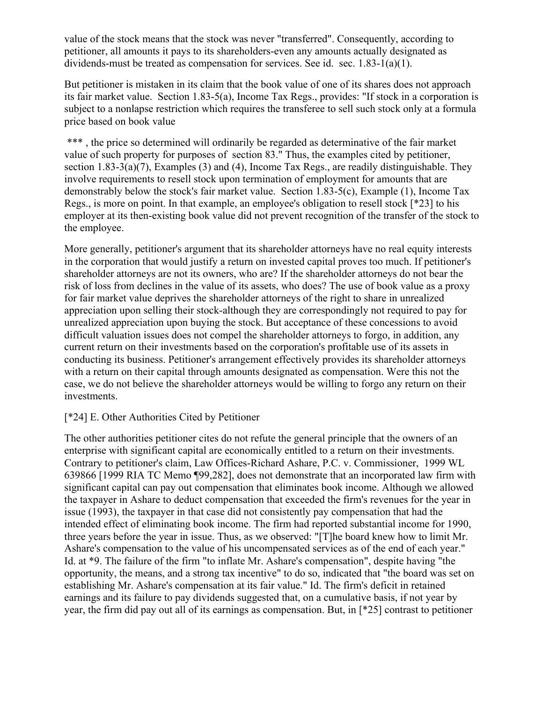value of the stock means that the stock was never "transferred". Consequently, according to petitioner, all amounts it pays to its shareholders-even any amounts actually designated as dividends-must be treated as compensation for services. See id. sec.  $1.83-1(a)(1)$ .

But petitioner is mistaken in its claim that the book value of one of its shares does not approach its fair market value. Section 1.83-5(a), Income Tax Regs., provides: "If stock in a corporation is subject to a nonlapse restriction which requires the transferee to sell such stock only at a formula price based on book value

\*\*\*, the price so determined will ordinarily be regarded as determinative of the fair market value of such property for purposes of section 83." Thus, the examples cited by petitioner, section 1.83-3(a)(7), Examples (3) and (4), Income Tax Regs., are readily distinguishable. They involve requirements to resell stock upon termination of employment for amounts that are demonstrably below the stock's fair market value. Section 1.83-5(c), Example (1), Income Tax Regs., is more on point. In that example, an employee's obligation to resell stock [\*23] to his employer at its then-existing book value did not prevent recognition of the transfer of the stock to the employee.

More generally, petitioner's argument that its shareholder attorneys have no real equity interests in the corporation that would justify a return on invested capital proves too much. If petitioner's shareholder attorneys are not its owners, who are? If the shareholder attorneys do not bear the risk of loss from declines in the value of its assets, who does? The use of book value as a proxy for fair market value deprives the shareholder attorneys of the right to share in unrealized appreciation upon selling their stock-although they are correspondingly not required to pay for unrealized appreciation upon buying the stock. But acceptance of these concessions to avoid difficult valuation issues does not compel the shareholder attorneys to forgo, in addition, any current return on their investments based on the corporation's profitable use of its assets in conducting its business. Petitioner's arrangement effectively provides its shareholder attorneys with a return on their capital through amounts designated as compensation. Were this not the case, we do not believe the shareholder attorneys would be willing to forgo any return on their investments.

# [\*24] E. Other Authorities Cited by Petitioner

The other authorities petitioner cites do not refute the general principle that the owners of an enterprise with significant capital are economically entitled to a return on their investments. Contrary to petitioner's claim, Law Offices-Richard Ashare, P.C. v. Commissioner, 1999 WL 639866 [1999 RIA TC Memo ¶99,282], does not demonstrate that an incorporated law firm with significant capital can pay out compensation that eliminates book income. Although we allowed the taxpayer in Ashare to deduct compensation that exceeded the firm's revenues for the year in issue (1993), the taxpayer in that case did not consistently pay compensation that had the intended effect of eliminating book income. The firm had reported substantial income for 1990, three years before the year in issue. Thus, as we observed: "[T]he board knew how to limit Mr. Ashare's compensation to the value of his uncompensated services as of the end of each year." Id. at \*9. The failure of the firm "to inflate Mr. Ashare's compensation", despite having "the opportunity, the means, and a strong tax incentive" to do so, indicated that "the board was set on establishing Mr. Ashare's compensation at its fair value." Id. The firm's deficit in retained earnings and its failure to pay dividends suggested that, on a cumulative basis, if not year by year, the firm did pay out all of its earnings as compensation. But, in [\*25] contrast to petitioner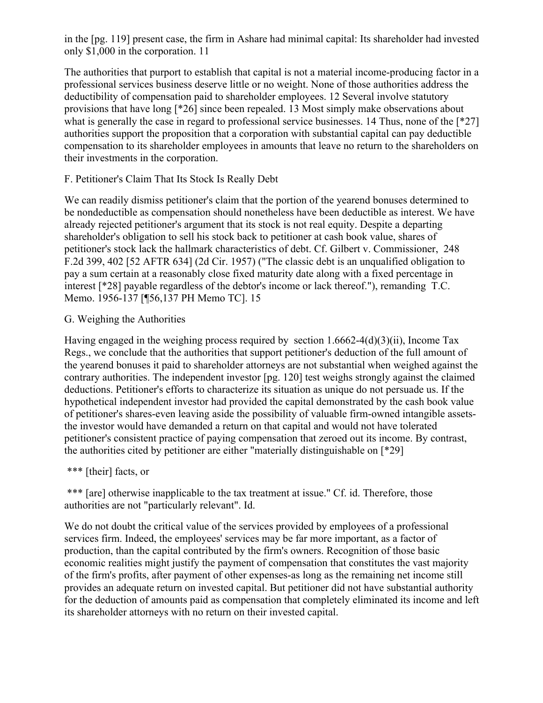in the [pg. 119] present case, the firm in Ashare had minimal capital: Its shareholder had invested only \$1,000 in the corporation. 11

The authorities that purport to establish that capital is not a material income-producing factor in a professional services business deserve little or no weight. None of those authorities address the deductibility of compensation paid to shareholder employees. 12 Several involve statutory provisions that have long [\*26] since been repealed. 13 Most simply make observations about what is generally the case in regard to professional service businesses. 14 Thus, none of the [\*27] authorities support the proposition that a corporation with substantial capital can pay deductible compensation to its shareholder employees in amounts that leave no return to the shareholders on their investments in the corporation.

#### F. Petitioner's Claim That Its Stock Is Really Debt

We can readily dismiss petitioner's claim that the portion of the yearend bonuses determined to be nondeductible as compensation should nonetheless have been deductible as interest. We have already rejected petitioner's argument that its stock is not real equity. Despite a departing shareholder's obligation to sell his stock back to petitioner at cash book value, shares of petitioner's stock lack the hallmark characteristics of debt. Cf. Gilbert v. Commissioner, 248 F.2d 399, 402 [52 AFTR 634] (2d Cir. 1957) ("The classic debt is an unqualified obligation to pay a sum certain at a reasonably close fixed maturity date along with a fixed percentage in interest [\*28] payable regardless of the debtor's income or lack thereof."), remanding T.C. Memo. 1956-137 [¶56,137 PH Memo TC]. 15

#### G. Weighing the Authorities

Having engaged in the weighing process required by section 1.6662-4(d)(3)(ii), Income Tax Regs., we conclude that the authorities that support petitioner's deduction of the full amount of the yearend bonuses it paid to shareholder attorneys are not substantial when weighed against the contrary authorities. The independent investor [pg. 120] test weighs strongly against the claimed deductions. Petitioner's efforts to characterize its situation as unique do not persuade us. If the hypothetical independent investor had provided the capital demonstrated by the cash book value of petitioner's shares-even leaving aside the possibility of valuable firm-owned intangible assetsthe investor would have demanded a return on that capital and would not have tolerated petitioner's consistent practice of paying compensation that zeroed out its income. By contrast, the authorities cited by petitioner are either "materially distinguishable on [\*29]

#### \*\*\* [their] facts, or

\*\*\* [are] otherwise inapplicable to the tax treatment at issue." Cf. id. Therefore, those authorities are not "particularly relevant". Id.

We do not doubt the critical value of the services provided by employees of a professional services firm. Indeed, the employees' services may be far more important, as a factor of production, than the capital contributed by the firm's owners. Recognition of those basic economic realities might justify the payment of compensation that constitutes the vast majority of the firm's profits, after payment of other expenses-as long as the remaining net income still provides an adequate return on invested capital. But petitioner did not have substantial authority for the deduction of amounts paid as compensation that completely eliminated its income and left its shareholder attorneys with no return on their invested capital.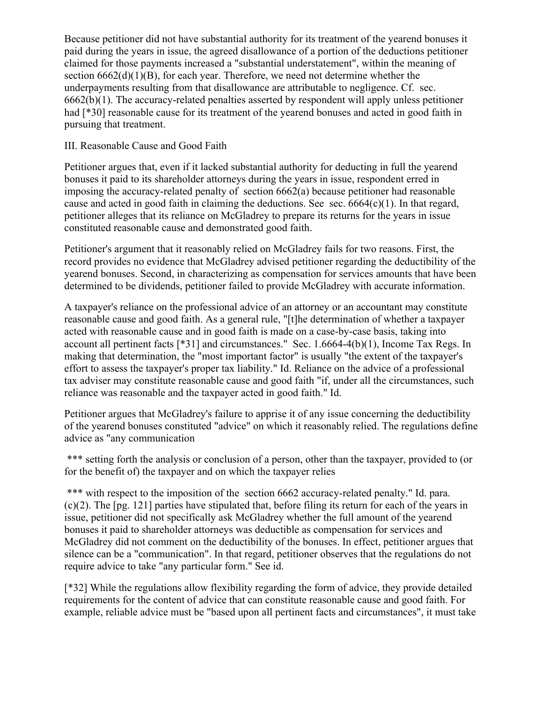Because petitioner did not have substantial authority for its treatment of the yearend bonuses it paid during the years in issue, the agreed disallowance of a portion of the deductions petitioner claimed for those payments increased a "substantial understatement", within the meaning of section  $6662(d)(1)(B)$ , for each year. Therefore, we need not determine whether the underpayments resulting from that disallowance are attributable to negligence. Cf. sec. 6662(b)(1). The accuracy-related penalties asserted by respondent will apply unless petitioner had [ $*30$ ] reasonable cause for its treatment of the yearend bonuses and acted in good faith in pursuing that treatment.

#### III. Reasonable Cause and Good Faith

Petitioner argues that, even if it lacked substantial authority for deducting in full the yearend bonuses it paid to its shareholder attorneys during the years in issue, respondent erred in imposing the accuracy-related penalty of section 6662(a) because petitioner had reasonable cause and acted in good faith in claiming the deductions. See sec.  $6664(c)(1)$ . In that regard, petitioner alleges that its reliance on McGladrey to prepare its returns for the years in issue constituted reasonable cause and demonstrated good faith.

Petitioner's argument that it reasonably relied on McGladrey fails for two reasons. First, the record provides no evidence that McGladrey advised petitioner regarding the deductibility of the yearend bonuses. Second, in characterizing as compensation for services amounts that have been determined to be dividends, petitioner failed to provide McGladrey with accurate information.

A taxpayer's reliance on the professional advice of an attorney or an accountant may constitute reasonable cause and good faith. As a general rule, "[t]he determination of whether a taxpayer acted with reasonable cause and in good faith is made on a case-by-case basis, taking into account all pertinent facts  $[*31]$  and circumstances." Sec. 1.6664-4(b)(1), Income Tax Regs. In making that determination, the "most important factor" is usually "the extent of the taxpayer's effort to assess the taxpayer's proper tax liability." Id. Reliance on the advice of a professional tax adviser may constitute reasonable cause and good faith "if, under all the circumstances, such reliance was reasonable and the taxpayer acted in good faith." Id.

Petitioner argues that McGladrey's failure to apprise it of any issue concerning the deductibility of the yearend bonuses constituted "advice" on which it reasonably relied. The regulations define advice as "any communication

\*\*\* setting forth the analysis or conclusion of a person, other than the taxpayer, provided to (or for the benefit of) the taxpayer and on which the taxpayer relies

\*\*\* with respect to the imposition of the section 6662 accuracy-related penalty." Id. para. (c)(2). The [pg. 121] parties have stipulated that, before filing its return for each of the years in issue, petitioner did not specifically ask McGladrey whether the full amount of the yearend bonuses it paid to shareholder attorneys was deductible as compensation for services and McGladrey did not comment on the deductibility of the bonuses. In effect, petitioner argues that silence can be a "communication". In that regard, petitioner observes that the regulations do not require advice to take "any particular form." See id.

[\*32] While the regulations allow flexibility regarding the form of advice, they provide detailed requirements for the content of advice that can constitute reasonable cause and good faith. For example, reliable advice must be "based upon all pertinent facts and circumstances", it must take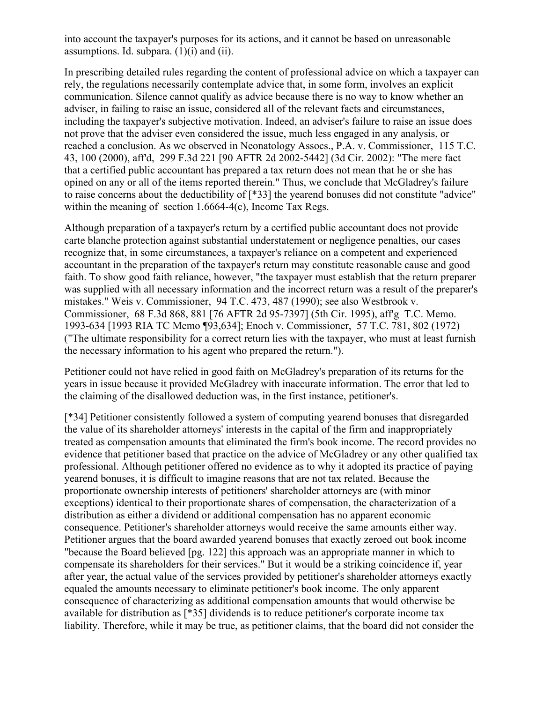into account the taxpayer's purposes for its actions, and it cannot be based on unreasonable assumptions. Id. subpara.  $(1)(i)$  and  $(ii)$ .

In prescribing detailed rules regarding the content of professional advice on which a taxpayer can rely, the regulations necessarily contemplate advice that, in some form, involves an explicit communication. Silence cannot qualify as advice because there is no way to know whether an adviser, in failing to raise an issue, considered all of the relevant facts and circumstances, including the taxpayer's subjective motivation. Indeed, an adviser's failure to raise an issue does not prove that the adviser even considered the issue, much less engaged in any analysis, or reached a conclusion. As we observed in Neonatology Assocs., P.A. v. Commissioner, 115 T.C. 43, 100 (2000), aff'd, 299 F.3d 221 [90 AFTR 2d 2002-5442] (3d Cir. 2002): "The mere fact that a certified public accountant has prepared a tax return does not mean that he or she has opined on any or all of the items reported therein." Thus, we conclude that McGladrey's failure to raise concerns about the deductibility of [\*33] the yearend bonuses did not constitute "advice" within the meaning of section 1.6664-4(c), Income Tax Regs.

Although preparation of a taxpayer's return by a certified public accountant does not provide carte blanche protection against substantial understatement or negligence penalties, our cases recognize that, in some circumstances, a taxpayer's reliance on a competent and experienced accountant in the preparation of the taxpayer's return may constitute reasonable cause and good faith. To show good faith reliance, however, "the taxpayer must establish that the return preparer was supplied with all necessary information and the incorrect return was a result of the preparer's mistakes." Weis v. Commissioner, 94 T.C. 473, 487 (1990); see also Westbrook v. Commissioner, 68 F.3d 868, 881 [76 AFTR 2d 95-7397] (5th Cir. 1995), aff'g T.C. Memo. 1993-634 [1993 RIA TC Memo ¶93,634]; Enoch v. Commissioner, 57 T.C. 781, 802 (1972) ("The ultimate responsibility for a correct return lies with the taxpayer, who must at least furnish the necessary information to his agent who prepared the return.").

Petitioner could not have relied in good faith on McGladrey's preparation of its returns for the years in issue because it provided McGladrey with inaccurate information. The error that led to the claiming of the disallowed deduction was, in the first instance, petitioner's.

[\*34] Petitioner consistently followed a system of computing yearend bonuses that disregarded the value of its shareholder attorneys' interests in the capital of the firm and inappropriately treated as compensation amounts that eliminated the firm's book income. The record provides no evidence that petitioner based that practice on the advice of McGladrey or any other qualified tax professional. Although petitioner offered no evidence as to why it adopted its practice of paying yearend bonuses, it is difficult to imagine reasons that are not tax related. Because the proportionate ownership interests of petitioners' shareholder attorneys are (with minor exceptions) identical to their proportionate shares of compensation, the characterization of a distribution as either a dividend or additional compensation has no apparent economic consequence. Petitioner's shareholder attorneys would receive the same amounts either way. Petitioner argues that the board awarded yearend bonuses that exactly zeroed out book income "because the Board believed [pg. 122] this approach was an appropriate manner in which to compensate its shareholders for their services." But it would be a striking coincidence if, year after year, the actual value of the services provided by petitioner's shareholder attorneys exactly equaled the amounts necessary to eliminate petitioner's book income. The only apparent consequence of characterizing as additional compensation amounts that would otherwise be available for distribution as [\*35] dividends is to reduce petitioner's corporate income tax liability. Therefore, while it may be true, as petitioner claims, that the board did not consider the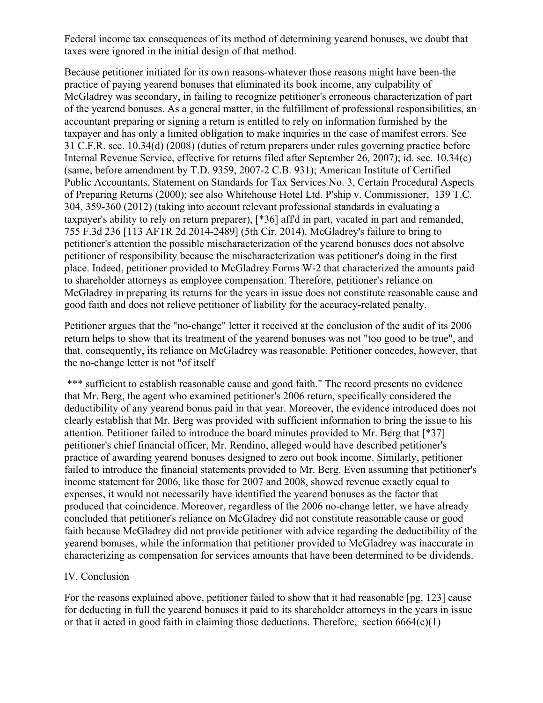Federal income tax consequences of its method of determining yearend bonuses, we doubt that taxes were ignored in the initial design of that method.

Because petitioner initiated for its own reasons-whatever those reasons might have been-the practice of paying yearend bonuses that eliminated its book income, any culpability of McGladrey was secondary, in failing to recognize petitioner's erroneous characterization of part of the yearend bonuses. As a general matter, in the fulfillment of professional responsibilities, an accountant preparing or signing a return is entitled to rely on information furnished by the taxpayer and has only a limited obligation to make inquiries in the case of manifest errors. See 31 C.F.R. sec. 10.34(d) (2008) (duties of return preparers under rules governing practice before Internal Revenue Service, effective for returns filed after September 26, 2007); id. sec. 10.34(c) (same, before amendment by T.D. 9359, 2007-2 C.B. 931); American Institute of Certified Public Accountants, Statement on Standards for Tax Services No. 3, Certain Procedural Aspects of Preparing Returns (2000); see also Whitehouse Hotel Ltd. P'ship v. Commissioner, 139 T.C. 304, 359-360 (2012) (taking into account relevant professional standards in evaluating a taxpayer's ability to rely on return preparer), [\*36] aff'd in part, vacated in part and remanded, 755 F.3d 236 [113 AFTR 2d 2014-2489] (5th Cir. 2014). McGladrey's failure to bring to petitioner's attention the possible mischaracterization of the yearend bonuses does not absolve petitioner of responsibility because the mischaracterization was petitioner's doing in the first place. Indeed, petitioner provided to McGladrey Forms W-2 that characterized the amounts paid to shareholder attorneys as employee compensation. Therefore, petitioner's reliance on McGladrey in preparing its returns for the years in issue does not constitute reasonable cause and good faith and does not relieve petitioner of liability for the accuracy-related penalty.

Petitioner argues that the "no-change" letter it received at the conclusion of the audit of its 2006 return helps to show that its treatment of the yearend bonuses was not "too good to be true", and that, consequently, its reliance on McGladrey was reasonable. Petitioner concedes, however, that the no-change letter is not "of itself

\*\*\* sufficient to establish reasonable cause and good faith." The record presents no evidence that Mr. Berg, the agent who examined petitioner's 2006 return, specifically considered the deductibility of any yearend bonus paid in that year. Moreover, the evidence introduced does not clearly establish that Mr. Berg was provided with sufficient information to bring the issue to his attention. Petitioner failed to introduce the board minutes provided to Mr. Berg that [\*37] petitioner's chief financial officer, Mr. Rendino, alleged would have described petitioner's practice of awarding yearend bonuses designed to zero out book income. Similarly, petitioner failed to introduce the financial statements provided to Mr. Berg. Even assuming that petitioner's income statement for 2006, like those for 2007 and 2008, showed revenue exactly equal to expenses, it would not necessarily have identified the yearend bonuses as the factor that produced that coincidence. Moreover, regardless of the 2006 no-change letter, we have already concluded that petitioner's reliance on McGladrey did not constitute reasonable cause or good faith because McGladrey did not provide petitioner with advice regarding the deductibility of the yearend bonuses, while the information that petitioner provided to McGladrey was inaccurate in characterizing as compensation for services amounts that have been determined to be dividends.

# IV. Conclusion

For the reasons explained above, petitioner failed to show that it had reasonable [pg. 123] cause for deducting in full the yearend bonuses it paid to its shareholder attorneys in the years in issue or that it acted in good faith in claiming those deductions. Therefore, section  $6664(c)(1)$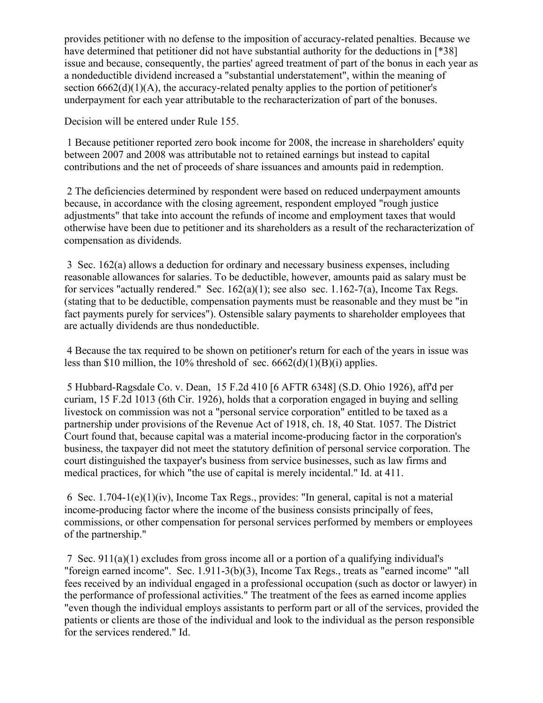provides petitioner with no defense to the imposition of accuracy-related penalties. Because we have determined that petitioner did not have substantial authority for the deductions in [\*38] issue and because, consequently, the parties' agreed treatment of part of the bonus in each year as a nondeductible dividend increased a "substantial understatement", within the meaning of section  $6662(d)(1)(A)$ , the accuracy-related penalty applies to the portion of petitioner's underpayment for each year attributable to the recharacterization of part of the bonuses.

Decision will be entered under Rule 155.

1 Because petitioner reported zero book income for 2008, the increase in shareholders' equity between 2007 and 2008 was attributable not to retained earnings but instead to capital contributions and the net of proceeds of share issuances and amounts paid in redemption.

2 The deficiencies determined by respondent were based on reduced underpayment amounts because, in accordance with the closing agreement, respondent employed "rough justice adjustments" that take into account the refunds of income and employment taxes that would otherwise have been due to petitioner and its shareholders as a result of the recharacterization of compensation as dividends.

3 Sec. 162(a) allows a deduction for ordinary and necessary business expenses, including reasonable allowances for salaries. To be deductible, however, amounts paid as salary must be for services "actually rendered." Sec.  $162(a)(1)$ ; see also sec.  $1.162-7(a)$ , Income Tax Regs. (stating that to be deductible, compensation payments must be reasonable and they must be "in fact payments purely for services"). Ostensible salary payments to shareholder employees that are actually dividends are thus nondeductible.

4 Because the tax required to be shown on petitioner's return for each of the years in issue was less than \$10 million, the 10% threshold of sec.  $6662(d)(1)(B)(i)$  applies.

5 Hubbard-Ragsdale Co. v. Dean, 15 F.2d 410 [6 AFTR 6348] (S.D. Ohio 1926), aff'd per curiam, 15 F.2d 1013 (6th Cir. 1926), holds that a corporation engaged in buying and selling livestock on commission was not a "personal service corporation" entitled to be taxed as a partnership under provisions of the Revenue Act of 1918, ch. 18, 40 Stat. 1057. The District Court found that, because capital was a material income-producing factor in the corporation's business, the taxpayer did not meet the statutory definition of personal service corporation. The court distinguished the taxpayer's business from service businesses, such as law firms and medical practices, for which "the use of capital is merely incidental." Id. at 411.

6 Sec. 1.704-1(e)(1)(iv), Income Tax Regs., provides: "In general, capital is not a material income-producing factor where the income of the business consists principally of fees, commissions, or other compensation for personal services performed by members or employees of the partnership."

7 Sec. 911(a)(1) excludes from gross income all or a portion of a qualifying individual's "foreign earned income". Sec. 1.911-3(b)(3), Income Tax Regs., treats as "earned income" "all fees received by an individual engaged in a professional occupation (such as doctor or lawyer) in the performance of professional activities." The treatment of the fees as earned income applies "even though the individual employs assistants to perform part or all of the services, provided the patients or clients are those of the individual and look to the individual as the person responsible for the services rendered." Id.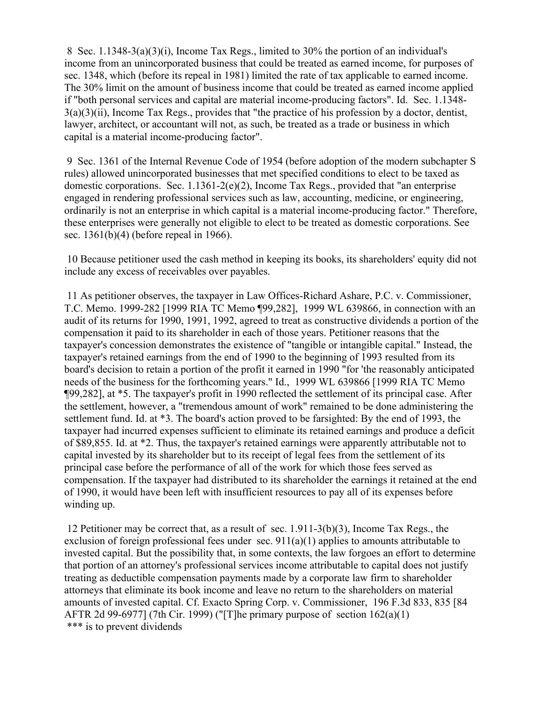8 Sec. 1.1348-3(a)(3)(i), Income Tax Regs., limited to 30% the portion of an individual's income from an unincorporated business that could be treated as earned income, for purposes of sec. 1348, which (before its repeal in 1981) limited the rate of tax applicable to earned income. The 30% limit on the amount of business income that could be treated as earned income applied if "both personal services and capital are material income-producing factors". Id. Sec. 1.1348- 3(a)(3)(ii), Income Tax Regs., provides that "the practice of his profession by a doctor, dentist, lawyer, architect, or accountant will not, as such, be treated as a trade or business in which capital is a material income-producing factor".

9 Sec. 1361 of the Internal Revenue Code of 1954 (before adoption of the modern subchapter S rules) allowed unincorporated businesses that met specified conditions to elect to be taxed as domestic corporations. Sec. 1.1361-2(e)(2), Income Tax Regs., provided that "an enterprise engaged in rendering professional services such as law, accounting, medicine, or engineering, ordinarily is not an enterprise in which capital is a material income-producing factor." Therefore, these enterprises were generally not eligible to elect to be treated as domestic corporations. See sec. 1361(b)(4) (before repeal in 1966).

10 Because petitioner used the cash method in keeping its books, its shareholders' equity did not include any excess of receivables over payables.

11 As petitioner observes, the taxpayer in Law Offices-Richard Ashare, P.C. v. Commissioner, T.C. Memo. 1999-282 [1999 RIA TC Memo ¶99,282], 1999 WL 639866, in connection with an audit of its returns for 1990, 1991, 1992, agreed to treat as constructive dividends a portion of the compensation it paid to its shareholder in each of those years. Petitioner reasons that the taxpayer's concession demonstrates the existence of "tangible or intangible capital." Instead, the taxpayer's retained earnings from the end of 1990 to the beginning of 1993 resulted from its board's decision to retain a portion of the profit it earned in 1990 "for 'the reasonably anticipated needs of the business for the forthcoming years." Id., 1999 WL 639866 [1999 RIA TC Memo ¶99,282], at \*5. The taxpayer's profit in 1990 reflected the settlement of its principal case. After the settlement, however, a "tremendous amount of work" remained to be done administering the settlement fund. Id. at \*3. The board's action proved to be farsighted: By the end of 1993, the taxpayer had incurred expenses sufficient to eliminate its retained earnings and produce a deficit of \$89,855. Id. at \*2. Thus, the taxpayer's retained earnings were apparently attributable not to capital invested by its shareholder but to its receipt of legal fees from the settlement of its principal case before the performance of all of the work for which those fees served as compensation. If the taxpayer had distributed to its shareholder the earnings it retained at the end of 1990, it would have been left with insufficient resources to pay all of its expenses before winding up.

12 Petitioner may be correct that, as a result of sec. 1.911-3(b)(3), Income Tax Regs., the exclusion of foreign professional fees under sec.  $911(a)(1)$  applies to amounts attributable to invested capital. But the possibility that, in some contexts, the law forgoes an effort to determine that portion of an attorney's professional services income attributable to capital does not justify treating as deductible compensation payments made by a corporate law firm to shareholder attorneys that eliminate its book income and leave no return to the shareholders on material amounts of invested capital. Cf. Exacto Spring Corp. v. Commissioner, 196 F.3d 833, 835 [84 AFTR 2d 99-6977] (7th Cir. 1999) ("[T]he primary purpose of section 162(a)(1) \*\*\* is to prevent dividends